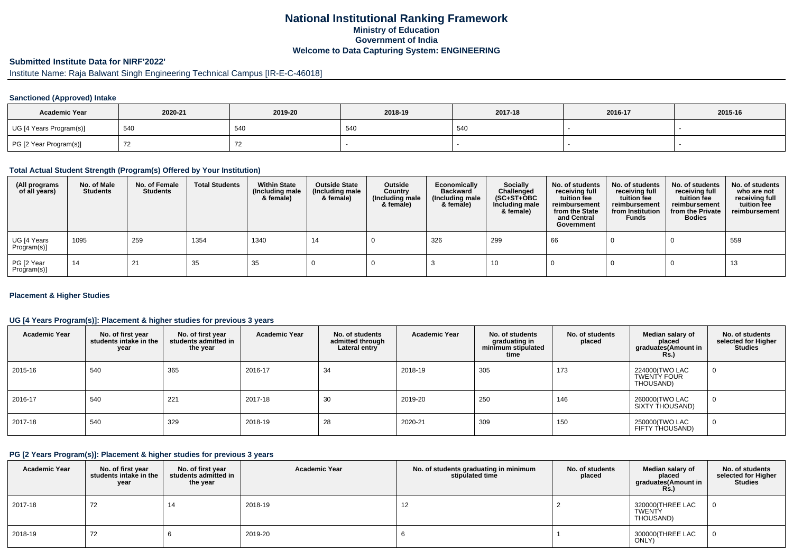# **National Institutional Ranking FrameworkMinistry of Education Government of IndiaWelcome to Data Capturing System: ENGINEERING**

# **Submitted Institute Data for NIRF'2022'**

# Institute Name: Raja Balwant Singh Engineering Technical Campus [IR-E-C-46018]

## **Sanctioned (Approved) Intake**

| <b>Academic Year</b>    | 2020-21 | 2019-20 | 2018-19 | 2017-18 | 2016-17 | 2015-16 |
|-------------------------|---------|---------|---------|---------|---------|---------|
| UG [4 Years Program(s)] | 540     | 540     | 540     | 540     |         |         |
| PG [2 Year Program(s)]  |         |         |         |         |         |         |

#### **Total Actual Student Strength (Program(s) Offered by Your Institution)**

| (All programs<br>of all years) | No. of Male<br><b>Students</b> | No. of Female<br><b>Students</b> | <b>Total Students</b> | <b>Within State</b><br>(Including male<br>& female) | <b>Outside State</b><br>(Including male<br>& female) | Outside<br>Country<br>(Including male<br>& female) | Economically<br><b>Backward</b><br>(Including male<br>& female) | <b>Socially</b><br>Challenged<br>$(SC+ST+OBC)$<br>Including male<br>& female) | No. of students<br>receiving full<br>tuition fee<br>reimbursement<br>from the State<br>and Central<br>Government | No. of students<br>receiving full<br>tuition fee<br>reimbursement<br>from Institution<br><b>Funds</b> | No. of students<br>receiving full<br>tuition fee<br>reimbursement<br>from the Private<br><b>Bodies</b> | No. of students<br>who are not<br>receiving full<br>tuition fee<br>reimbursement |
|--------------------------------|--------------------------------|----------------------------------|-----------------------|-----------------------------------------------------|------------------------------------------------------|----------------------------------------------------|-----------------------------------------------------------------|-------------------------------------------------------------------------------|------------------------------------------------------------------------------------------------------------------|-------------------------------------------------------------------------------------------------------|--------------------------------------------------------------------------------------------------------|----------------------------------------------------------------------------------|
| UG [4 Years<br>Program(s)]     | 1095                           | 259                              | 1354                  | 1340                                                | 14                                                   |                                                    | 326                                                             | 299                                                                           | 66                                                                                                               |                                                                                                       |                                                                                                        | 559                                                                              |
| PG [2 Year<br>Program(s)]      | 14                             | 21                               | 35                    | 35                                                  |                                                      |                                                    |                                                                 | 10                                                                            |                                                                                                                  |                                                                                                       |                                                                                                        | 13                                                                               |

## **Placement & Higher Studies**

## **UG [4 Years Program(s)]: Placement & higher studies for previous 3 years**

| <b>Academic Year</b> | No. of first year<br>students intake in the<br>year | No. of first vear<br>students admitted in<br>the year | <b>Academic Year</b> | No. of students<br>admitted through<br>Lateral entry | <b>Academic Year</b> | No. of students<br>graduating in<br>minimum stipulated<br>time | No. of students<br>placed | Median salary of<br>placed<br>graduates(Amount in<br>Rs. | No. of students<br>selected for Higher<br><b>Studies</b> |
|----------------------|-----------------------------------------------------|-------------------------------------------------------|----------------------|------------------------------------------------------|----------------------|----------------------------------------------------------------|---------------------------|----------------------------------------------------------|----------------------------------------------------------|
| 2015-16              | 540                                                 | 365                                                   | 2016-17              | 34                                                   | 2018-19              | 305                                                            | 173                       | 224000(TWO LAC<br><b>TWENTY FOUR</b><br>THOUSAND)        |                                                          |
| 2016-17              | 540                                                 | 221                                                   | 2017-18              | 30                                                   | 2019-20              | 250                                                            | 146                       | 260000(TWO LAC<br>SIXTY THOUSAND)                        |                                                          |
| 2017-18              | 540                                                 | 329                                                   | 2018-19              | 28                                                   | 2020-21              | 309                                                            | 150                       | 250000(TWO LAC<br>FIFTY THOUSAND)                        |                                                          |

### **PG [2 Years Program(s)]: Placement & higher studies for previous 3 years**

| <b>Academic Year</b> | No. of first year<br>students intake in the<br>year | No. of first year<br>students admitted in<br>the year | <b>Academic Year</b> | No. of students graduating in minimum<br>stipulated time | No. of students<br>placed | Median salary of<br>placed<br>graduates(Amount in<br><b>Rs.)</b> | No. of students<br>selected for Higher<br><b>Studies</b> |
|----------------------|-----------------------------------------------------|-------------------------------------------------------|----------------------|----------------------------------------------------------|---------------------------|------------------------------------------------------------------|----------------------------------------------------------|
| 2017-18              | 72                                                  | 14                                                    | 2018-19              | 12                                                       |                           | 320000(THREE LAC<br><b>TWENTY</b><br>THOUSAND)                   |                                                          |
| 2018-19              | 72                                                  |                                                       | 2019-20              |                                                          |                           | 300000(THREE LAC<br>ONLY)                                        |                                                          |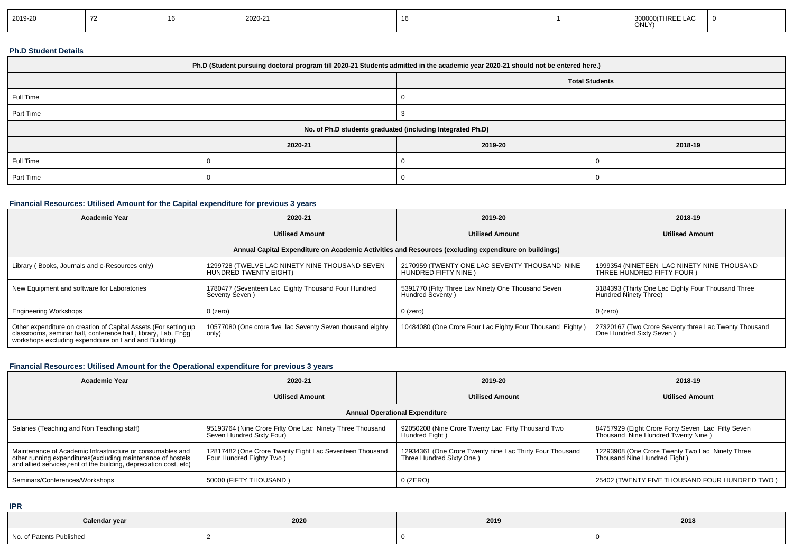| 2019-20 |  |  | 2020-21 |  |  | 300000(THREE LAC<br>ONLY) |  |
|---------|--|--|---------|--|--|---------------------------|--|
|---------|--|--|---------|--|--|---------------------------|--|

## **Ph.D Student Details**

| Ph.D (Student pursuing doctoral program till 2020-21 Students admitted in the academic year 2020-21 should not be entered here.) |         |         |         |  |  |  |  |
|----------------------------------------------------------------------------------------------------------------------------------|---------|---------|---------|--|--|--|--|
| <b>Total Students</b>                                                                                                            |         |         |         |  |  |  |  |
| Full Time                                                                                                                        |         |         |         |  |  |  |  |
| Part Time                                                                                                                        |         |         |         |  |  |  |  |
| No. of Ph.D students graduated (including Integrated Ph.D)                                                                       |         |         |         |  |  |  |  |
|                                                                                                                                  | 2020-21 | 2019-20 | 2018-19 |  |  |  |  |
| Full Time                                                                                                                        |         |         |         |  |  |  |  |
| Part Time                                                                                                                        |         |         |         |  |  |  |  |

# **Financial Resources: Utilised Amount for the Capital expenditure for previous 3 years**

| <b>Academic Year</b>                                                                                                                                                                      | 2020-21                                                                 | 2019-20                                                                | 2018-19                                                                           |  |  |  |  |  |  |
|-------------------------------------------------------------------------------------------------------------------------------------------------------------------------------------------|-------------------------------------------------------------------------|------------------------------------------------------------------------|-----------------------------------------------------------------------------------|--|--|--|--|--|--|
|                                                                                                                                                                                           | <b>Utilised Amount</b>                                                  | <b>Utilised Amount</b>                                                 | <b>Utilised Amount</b>                                                            |  |  |  |  |  |  |
| Annual Capital Expenditure on Academic Activities and Resources (excluding expenditure on buildings)                                                                                      |                                                                         |                                                                        |                                                                                   |  |  |  |  |  |  |
| Library (Books, Journals and e-Resources only)                                                                                                                                            | 1299728 (TWELVE LAC NINETY NINE THOUSAND SEVEN<br>HUNDRED TWENTY EIGHT) | 2170959 (TWENTY ONE LAC SEVENTY THOUSAND NINE<br>HUNDRED FIFTY NINE    | 1999354 (NINETEEN LAC NINETY NINE THOUSAND<br>THREE HUNDRED FIFTY FOUR )          |  |  |  |  |  |  |
| New Equipment and software for Laboratories                                                                                                                                               | 1780477 (Seventeen Lac Eighty Thousand Four Hundred<br>Seventy Seven)   | 5391770 (Fifty Three Lav Ninety One Thousand Seven<br>Hundred Seventy) | 3184393 (Thirty One Lac Eighty Four Thousand Three<br>Hundred Ninety Three)       |  |  |  |  |  |  |
| <b>Engineering Workshops</b>                                                                                                                                                              | 0 (zero)                                                                | $0$ (zero)                                                             | 0 (zero)                                                                          |  |  |  |  |  |  |
| Other expenditure on creation of Capital Assets (For setting up<br>classrooms, seminar hall, conference hall, library, Lab, Engg<br>workshops excluding expenditure on Land and Building) | 10577080 (One crore five lac Seventy Seven thousand eighty<br>only)     | 10484080 (One Crore Four Lac Eighty Four Thousand Eighty)              | 27320167 (Two Crore Seventy three Lac Twenty Thousand<br>One Hundred Sixty Seven) |  |  |  |  |  |  |

# **Financial Resources: Utilised Amount for the Operational expenditure for previous 3 years**

| <b>Academic Year</b>                                                                                                                                                                            | 2020-21                                                                               | 2019-20                                                                              | 2018-19                                                                                 |  |  |  |  |  |
|-------------------------------------------------------------------------------------------------------------------------------------------------------------------------------------------------|---------------------------------------------------------------------------------------|--------------------------------------------------------------------------------------|-----------------------------------------------------------------------------------------|--|--|--|--|--|
|                                                                                                                                                                                                 | <b>Utilised Amount</b>                                                                | <b>Utilised Amount</b>                                                               | <b>Utilised Amount</b>                                                                  |  |  |  |  |  |
| <b>Annual Operational Expenditure</b>                                                                                                                                                           |                                                                                       |                                                                                      |                                                                                         |  |  |  |  |  |
| Salaries (Teaching and Non Teaching staff)                                                                                                                                                      | 95193764 (Nine Crore Fifty One Lac Ninety Three Thousand<br>Seven Hundred Sixty Four) | 92050208 (Nine Crore Twenty Lac Fifty Thousand Two<br>Hundred Eight)                 | 84757929 (Eight Crore Forty Seven Lac Fifty Seven<br>Thousand Nine Hundred Twenty Nine) |  |  |  |  |  |
| Maintenance of Academic Infrastructure or consumables and<br>other running expenditures (excluding maintenance of hostels<br>and allied services, rent of the building, depreciation cost, etc) | 12817482 (One Crore Twenty Eight Lac Seventeen Thousand<br>Four Hundred Eighty Two)   | 12934361 (One Crore Twenty nine Lac Thirty Four Thousand<br>Three Hundred Sixty One) | 12293908 (One Crore Twenty Two Lac Ninety Three<br>Thousand Nine Hundred Eight)         |  |  |  |  |  |
| Seminars/Conferences/Workshops                                                                                                                                                                  | 50000 (FIFTY THOUSAND)                                                                | $0$ (ZERO)                                                                           | 25402 (TWENTY FIVE THOUSAND FOUR HUNDRED TWO)                                           |  |  |  |  |  |

**IPR**

| Calendar year            | 2020 | 2019 | 2018 |
|--------------------------|------|------|------|
| No. of Patents Published |      |      |      |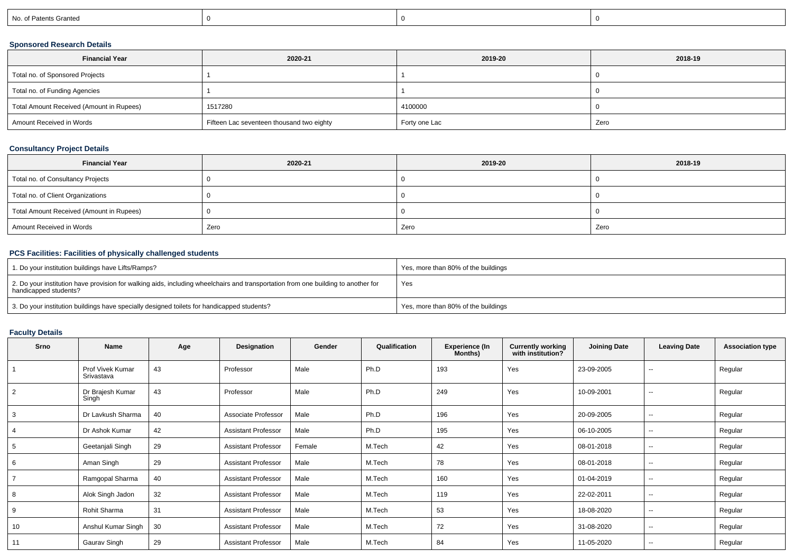| No. of Patents Granted |
|------------------------|
|------------------------|

# **Sponsored Research Details**

| <b>Financial Year</b>                    | 2020-21                                   | 2019-20       | 2018-19 |
|------------------------------------------|-------------------------------------------|---------------|---------|
| Total no. of Sponsored Projects          |                                           |               |         |
| Total no. of Funding Agencies            |                                           |               |         |
| Total Amount Received (Amount in Rupees) | 1517280                                   | 4100000       |         |
| Amount Received in Words                 | Fifteen Lac seventeen thousand two eighty | Forty one Lac | Zero    |

# **Consultancy Project Details**

| <b>Financial Year</b>                    | 2020-21 | 2019-20 | 2018-19 |
|------------------------------------------|---------|---------|---------|
| Total no. of Consultancy Projects        |         |         |         |
| Total no. of Client Organizations        |         |         |         |
| Total Amount Received (Amount in Rupees) |         |         |         |
| Amount Received in Words                 | Zero    | Zero    | Zero    |

# **PCS Facilities: Facilities of physically challenged students**

| <sup>1</sup> 1. Do your institution buildings have Lifts/Ramps?                                                                                            | Yes, more than 80% of the buildings |
|------------------------------------------------------------------------------------------------------------------------------------------------------------|-------------------------------------|
| 2. Do your institution have provision for walking aids, including wheelchairs and transportation from one building to another for<br>handicapped students? | Yes                                 |
| 3. Do your institution buildings have specially designed toilets for handicapped students?                                                                 | Yes, more than 80% of the buildings |

# **Faculty Details**

| Srno           | Name                           | Age | Designation                | Gender | Qualification | Experience (In<br>Months) | <b>Currently working<br/>with institution?</b> | <b>Joining Date</b> | <b>Leaving Date</b>      | <b>Association type</b> |
|----------------|--------------------------------|-----|----------------------------|--------|---------------|---------------------------|------------------------------------------------|---------------------|--------------------------|-------------------------|
|                | Prof Vivek Kumar<br>Srivastava | 43  | Professor                  | Male   | Ph.D          | 193                       | Yes                                            | 23-09-2005          | $\overline{\phantom{a}}$ | Regular                 |
| 2              | Dr Brajesh Kumar<br>Singh      | 43  | Professor                  | Male   | Ph.D          | 249                       | Yes                                            | 10-09-2001          | $\sim$                   | Regular                 |
| 3              | Dr Lavkush Sharma              | 40  | Associate Professor        | Male   | Ph.D          | 196                       | Yes                                            | 20-09-2005          | $\overline{\phantom{a}}$ | Regular                 |
|                | Dr Ashok Kumar                 | 42  | <b>Assistant Professor</b> | Male   | Ph.D          | 195                       | Yes                                            | 06-10-2005          | $\overline{\phantom{a}}$ | Regular                 |
| 5              | Geetanjali Singh               | 29  | <b>Assistant Professor</b> | Female | M.Tech        | 42                        | Yes                                            | 08-01-2018          | $\overline{\phantom{a}}$ | Regular                 |
| 6              | Aman Singh                     | 29  | <b>Assistant Professor</b> | Male   | M.Tech        | 78                        | Yes                                            | 08-01-2018          | $\overline{\phantom{a}}$ | Regular                 |
| $\overline{7}$ | Ramgopal Sharma                | 40  | <b>Assistant Professor</b> | Male   | M.Tech        | 160                       | Yes                                            | 01-04-2019          | $\overline{\phantom{a}}$ | Regular                 |
| 8              | Alok Singh Jadon               | 32  | <b>Assistant Professor</b> | Male   | M.Tech        | 119                       | Yes                                            | 22-02-2011          | $\overline{\phantom{a}}$ | Regular                 |
| 9              | Rohit Sharma                   | 31  | <b>Assistant Professor</b> | Male   | M.Tech        | 53                        | Yes                                            | 18-08-2020          | $\overline{\phantom{a}}$ | Regular                 |
| 10             | Anshul Kumar Singh             | 30  | <b>Assistant Professor</b> | Male   | M.Tech        | 72                        | Yes                                            | 31-08-2020          | $\overline{\phantom{a}}$ | Regular                 |
| 11             | Gaurav Singh                   | 29  | <b>Assistant Professor</b> | Male   | M.Tech        | 84                        | Yes                                            | 11-05-2020          | $\overline{\phantom{a}}$ | Regular                 |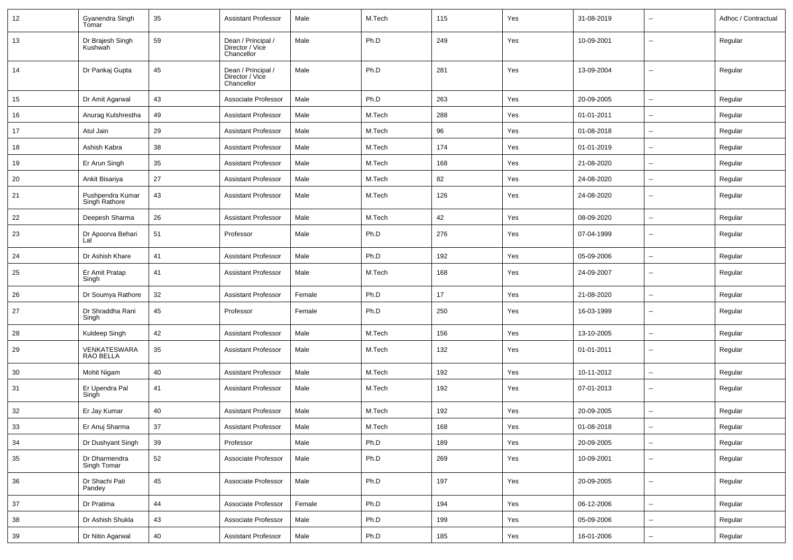| 12 | Gyanendra Singh<br>Tomar          | 35 | <b>Assistant Professor</b>                          | Male   | M.Tech | 115 | Yes | 31-08-2019 | $\overline{\phantom{a}}$ | Adhoc / Contractual |
|----|-----------------------------------|----|-----------------------------------------------------|--------|--------|-----|-----|------------|--------------------------|---------------------|
| 13 | Dr Brajesh Singh<br>Kushwah       | 59 | Dean / Principal /<br>Director / Vice<br>Chancellor | Male   | Ph.D   | 249 | Yes | 10-09-2001 | $\overline{\phantom{a}}$ | Regular             |
| 14 | Dr Pankaj Gupta                   | 45 | Dean / Principal /<br>Director / Vice<br>Chancellor | Male   | Ph.D   | 281 | Yes | 13-09-2004 | $\overline{\phantom{a}}$ | Regular             |
| 15 | Dr Amit Agarwal                   | 43 | Associate Professor                                 | Male   | Ph.D   | 263 | Yes | 20-09-2005 | $\overline{\phantom{a}}$ | Regular             |
| 16 | Anurag Kulshrestha                | 49 | <b>Assistant Professor</b>                          | Male   | M.Tech | 288 | Yes | 01-01-2011 | $\overline{\phantom{a}}$ | Regular             |
| 17 | Atul Jain                         | 29 | <b>Assistant Professor</b>                          | Male   | M.Tech | 96  | Yes | 01-08-2018 | Ξ.                       | Regular             |
| 18 | Ashish Kabra                      | 38 | <b>Assistant Professor</b>                          | Male   | M.Tech | 174 | Yes | 01-01-2019 | $\overline{\phantom{a}}$ | Regular             |
| 19 | Er Arun Singh                     | 35 | <b>Assistant Professor</b>                          | Male   | M.Tech | 168 | Yes | 21-08-2020 | $\overline{\phantom{a}}$ | Regular             |
| 20 | Ankit Bisariya                    | 27 | <b>Assistant Professor</b>                          | Male   | M.Tech | 82  | Yes | 24-08-2020 | $\overline{\phantom{a}}$ | Regular             |
| 21 | Pushpendra Kumar<br>Singh Rathore | 43 | <b>Assistant Professor</b>                          | Male   | M.Tech | 126 | Yes | 24-08-2020 | $\overline{\phantom{a}}$ | Regular             |
| 22 | Deepesh Sharma                    | 26 | <b>Assistant Professor</b>                          | Male   | M.Tech | 42  | Yes | 08-09-2020 | Щ,                       | Regular             |
| 23 | Dr Apoorva Behari<br>Lal          | 51 | Professor                                           | Male   | Ph.D   | 276 | Yes | 07-04-1999 | $\overline{\phantom{a}}$ | Regular             |
| 24 | Dr Ashish Khare                   | 41 | <b>Assistant Professor</b>                          | Male   | Ph.D   | 192 | Yes | 05-09-2006 | Щ,                       | Regular             |
| 25 | Er Amit Pratap<br>Singh           | 41 | <b>Assistant Professor</b>                          | Male   | M.Tech | 168 | Yes | 24-09-2007 | $\overline{\phantom{a}}$ | Regular             |
| 26 | Dr Soumya Rathore                 | 32 | <b>Assistant Professor</b>                          | Female | Ph.D   | 17  | Yes | 21-08-2020 | Ξ.                       | Regular             |
| 27 | Dr Shraddha Rani<br>Singh         | 45 | Professor                                           | Female | Ph.D   | 250 | Yes | 16-03-1999 | --                       | Regular             |
| 28 | Kuldeep Singh                     | 42 | <b>Assistant Professor</b>                          | Male   | M.Tech | 156 | Yes | 13-10-2005 | $\overline{\phantom{a}}$ | Regular             |
| 29 | VENKATESWARA<br><b>RAO BELLA</b>  | 35 | <b>Assistant Professor</b>                          | Male   | M.Tech | 132 | Yes | 01-01-2011 | $\overline{\phantom{a}}$ | Regular             |
| 30 | Mohit Nigam                       | 40 | <b>Assistant Professor</b>                          | Male   | M.Tech | 192 | Yes | 10-11-2012 | $\overline{\phantom{a}}$ | Regular             |
| 31 | Er Upendra Pal<br>Singh           | 41 | <b>Assistant Professor</b>                          | Male   | M.Tech | 192 | Yes | 07-01-2013 | $\overline{\phantom{a}}$ | Regular             |
| 32 | Er Jay Kumar                      | 40 | <b>Assistant Professor</b>                          | Male   | M.Tech | 192 | Yes | 20-09-2005 | $\overline{\phantom{a}}$ | Regular             |
| 33 | Er Anuj Sharma                    | 37 | <b>Assistant Professor</b>                          | Male   | M.Tech | 168 | Yes | 01-08-2018 | $\overline{\phantom{a}}$ | Regular             |
| 34 | Dr Dushyant Singh                 | 39 | Professor                                           | Male   | Ph.D   | 189 | Yes | 20-09-2005 | Щ,                       | Regular             |
| 35 | Dr Dharmendra<br>Singh Tomar      | 52 | Associate Professor                                 | Male   | Ph.D   | 269 | Yes | 10-09-2001 | Щ,                       | Regular             |
| 36 | Dr Shachi Pati<br>Pandey          | 45 | Associate Professor                                 | Male   | Ph.D   | 197 | Yes | 20-09-2005 | $\sim$                   | Regular             |
| 37 | Dr Pratima                        | 44 | Associate Professor                                 | Female | Ph.D   | 194 | Yes | 06-12-2006 | Ξ.                       | Regular             |
| 38 | Dr Ashish Shukla                  | 43 | Associate Professor                                 | Male   | Ph.D   | 199 | Yes | 05-09-2006 | --                       | Regular             |
| 39 | Dr Nitin Agarwal                  | 40 | <b>Assistant Professor</b>                          | Male   | Ph.D   | 185 | Yes | 16-01-2006 | --                       | Regular             |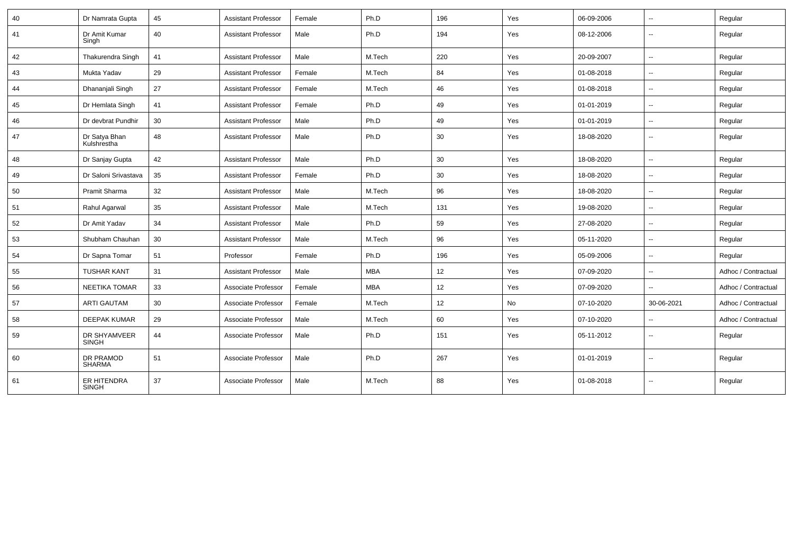| 40 | Dr Namrata Gupta             | 45 | <b>Assistant Professor</b> | Female | Ph.D       | 196 | Yes | 06-09-2006 | $\overline{\phantom{a}}$ | Regular             |
|----|------------------------------|----|----------------------------|--------|------------|-----|-----|------------|--------------------------|---------------------|
| 41 | Dr Amit Kumar<br>Singh       | 40 | <b>Assistant Professor</b> | Male   | Ph.D       | 194 | Yes | 08-12-2006 | $\overline{\phantom{a}}$ | Regular             |
| 42 | Thakurendra Singh            | 41 | <b>Assistant Professor</b> | Male   | M.Tech     | 220 | Yes | 20-09-2007 | $\mathbf{u}$             | Regular             |
| 43 | Mukta Yadav                  | 29 | <b>Assistant Professor</b> | Female | M.Tech     | 84  | Yes | 01-08-2018 | --                       | Regular             |
| 44 | Dhananjali Singh             | 27 | <b>Assistant Professor</b> | Female | M.Tech     | 46  | Yes | 01-08-2018 | Ξ.                       | Regular             |
| 45 | Dr Hemlata Singh             | 41 | <b>Assistant Professor</b> | Female | Ph.D       | 49  | Yes | 01-01-2019 | $\overline{\phantom{a}}$ | Regular             |
| 46 | Dr devbrat Pundhir           | 30 | <b>Assistant Professor</b> | Male   | Ph.D       | 49  | Yes | 01-01-2019 | $\overline{\phantom{a}}$ | Regular             |
| 47 | Dr Satya Bhan<br>Kulshrestha | 48 | <b>Assistant Professor</b> | Male   | Ph.D       | 30  | Yes | 18-08-2020 | $\overline{\phantom{a}}$ | Regular             |
| 48 | Dr Sanjay Gupta              | 42 | <b>Assistant Professor</b> | Male   | Ph.D       | 30  | Yes | 18-08-2020 | Ξ.                       | Regular             |
| 49 | Dr Saloni Srivastava         | 35 | Assistant Professor        | Female | Ph.D       | 30  | Yes | 18-08-2020 | $\sim$                   | Regular             |
| 50 | Pramit Sharma                | 32 | <b>Assistant Professor</b> | Male   | M.Tech     | 96  | Yes | 18-08-2020 | $\overline{\phantom{a}}$ | Regular             |
| 51 | Rahul Agarwal                | 35 | <b>Assistant Professor</b> | Male   | M.Tech     | 131 | Yes | 19-08-2020 | $\sim$                   | Regular             |
| 52 | Dr Amit Yadav                | 34 | <b>Assistant Professor</b> | Male   | Ph.D       | 59  | Yes | 27-08-2020 | $\overline{\phantom{a}}$ | Regular             |
| 53 | Shubham Chauhan              | 30 | <b>Assistant Professor</b> | Male   | M.Tech     | 96  | Yes | 05-11-2020 | $\overline{\phantom{a}}$ | Regular             |
| 54 | Dr Sapna Tomar               | 51 | Professor                  | Female | Ph.D       | 196 | Yes | 05-09-2006 | $\overline{\phantom{a}}$ | Regular             |
| 55 | <b>TUSHAR KANT</b>           | 31 | <b>Assistant Professor</b> | Male   | <b>MBA</b> | 12  | Yes | 07-09-2020 | $\overline{\phantom{a}}$ | Adhoc / Contractual |
| 56 | <b>NEETIKA TOMAR</b>         | 33 | Associate Professor        | Female | <b>MBA</b> | 12  | Yes | 07-09-2020 | $\overline{\phantom{a}}$ | Adhoc / Contractual |
| 57 | <b>ARTI GAUTAM</b>           | 30 | Associate Professor        | Female | M.Tech     | 12  | No  | 07-10-2020 | 30-06-2021               | Adhoc / Contractual |
| 58 | <b>DEEPAK KUMAR</b>          | 29 | Associate Professor        | Male   | M.Tech     | 60  | Yes | 07-10-2020 | $\overline{\phantom{a}}$ | Adhoc / Contractual |
| 59 | DR SHYAMVEER<br><b>SINGH</b> | 44 | Associate Professor        | Male   | Ph.D       | 151 | Yes | 05-11-2012 | $\overline{\phantom{a}}$ | Regular             |
| 60 | DR PRAMOD<br>SHARMA          | 51 | Associate Professor        | Male   | Ph.D       | 267 | Yes | 01-01-2019 | $\overline{\phantom{a}}$ | Regular             |
| 61 | ER HITENDRA<br><b>SINGH</b>  | 37 | Associate Professor        | Male   | M.Tech     | 88  | Yes | 01-08-2018 | $\overline{\phantom{a}}$ | Regular             |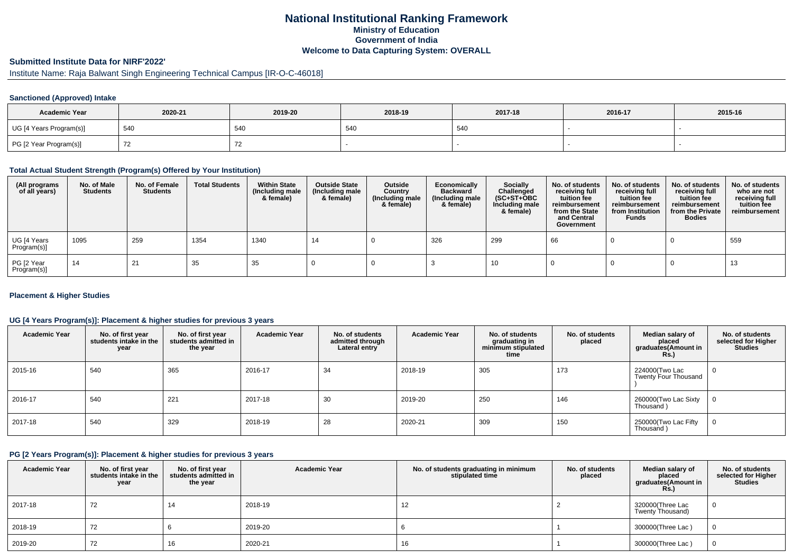# **National Institutional Ranking FrameworkMinistry of Education Government of IndiaWelcome to Data Capturing System: OVERALL**

# **Submitted Institute Data for NIRF'2022'**

# Institute Name: Raja Balwant Singh Engineering Technical Campus [IR-O-C-46018]

## **Sanctioned (Approved) Intake**

| <b>Academic Year</b>    | 2020-21 | 2019-20 | 2018-19 | 2017-18 | 2016-17 | 2015-16 |
|-------------------------|---------|---------|---------|---------|---------|---------|
| UG [4 Years Program(s)] | 540     | 54C     | 540     | 540     |         |         |
| PG [2 Year Program(s)]  |         |         |         |         |         |         |

#### **Total Actual Student Strength (Program(s) Offered by Your Institution)**

| (All programs<br>of all years) | No. of Male<br><b>Students</b> | No. of Female<br><b>Students</b> | <b>Total Students</b> | <b>Within State</b><br>(Including male<br>& female) | <b>Outside State</b><br>(Including male<br>& female) | Outside<br>Country<br>(Including male<br>& female) | Economically<br><b>Backward</b><br>(Including male<br>& female) | <b>Socially</b><br>Challenged<br>$(SC+ST+OBC)$<br>Including male<br>& female) | No. of students<br>receiving full<br>tuition fee<br>reimbursement<br>from the State<br>and Central<br>Government | No. of students<br>receiving full<br>tuition fee<br>reimbursement<br>from Institution<br><b>Funds</b> | No. of students<br>receiving full<br>tuition fee<br>reimbursement<br>from the Private<br><b>Bodies</b> | No. of students<br>who are not<br>receiving full<br>tuition fee<br>reimbursement |
|--------------------------------|--------------------------------|----------------------------------|-----------------------|-----------------------------------------------------|------------------------------------------------------|----------------------------------------------------|-----------------------------------------------------------------|-------------------------------------------------------------------------------|------------------------------------------------------------------------------------------------------------------|-------------------------------------------------------------------------------------------------------|--------------------------------------------------------------------------------------------------------|----------------------------------------------------------------------------------|
| UG [4 Years<br>Program(s)]     | 1095                           | 259                              | 1354                  | 1340                                                | 14                                                   |                                                    | 326                                                             | 299                                                                           | 66                                                                                                               |                                                                                                       |                                                                                                        | 559                                                                              |
| PG [2 Year<br>Program(s)]      | 14                             | 21                               | 35                    | 35                                                  |                                                      |                                                    |                                                                 | 10                                                                            |                                                                                                                  |                                                                                                       |                                                                                                        | 13                                                                               |

## **Placement & Higher Studies**

## **UG [4 Years Program(s)]: Placement & higher studies for previous 3 years**

| <b>Academic Year</b> | No. of first year<br>students intake in the<br>year | No. of first vear<br>students admitted in<br>the year | <b>Academic Year</b> | No. of students<br>admitted through<br>Lateral entry | <b>Academic Year</b> | No. of students<br>graduating in<br>minimum stipulated<br>time | No. of students<br>placed | Median salary of<br>placed<br>graduates(Amount in<br>Rs.) | No. of students<br>selected for Higher<br><b>Studies</b> |
|----------------------|-----------------------------------------------------|-------------------------------------------------------|----------------------|------------------------------------------------------|----------------------|----------------------------------------------------------------|---------------------------|-----------------------------------------------------------|----------------------------------------------------------|
| 2015-16              | 540                                                 | 365                                                   | 2016-17              | 34                                                   | 2018-19              | 305                                                            | 173                       | 224000(Two Lac<br>Twenty Four Thousand                    | $\mathbf 0$                                              |
| 2016-17              | 540                                                 | 221                                                   | 2017-18              | 30                                                   | 2019-20              | 250                                                            | 146                       | 260000(Two Lac Sixty<br>Thousand)                         | 0                                                        |
| 2017-18              | 540                                                 | 329                                                   | 2018-19              | 28                                                   | 2020-21              | 309                                                            | 150                       | 250000(Two Lac Fifty<br>Thousand)                         | 0                                                        |

### **PG [2 Years Program(s)]: Placement & higher studies for previous 3 years**

| <b>Academic Year</b> | No. of first year<br>students intake in the<br>year | No. of first vear<br>students admitted in<br>the year | <b>Academic Year</b> | No. of students graduating in minimum<br>stipulated time | No. of students<br>placed | Median salary of<br>placed<br>graduates(Amount in<br><b>Rs.)</b> | No. of students<br>selected for Higher<br><b>Studies</b> |
|----------------------|-----------------------------------------------------|-------------------------------------------------------|----------------------|----------------------------------------------------------|---------------------------|------------------------------------------------------------------|----------------------------------------------------------|
| 2017-18              | 72                                                  | 14                                                    | 2018-19              | 12                                                       |                           | 320000(Three Lac<br>Twenty Thousand)                             |                                                          |
| 2018-19              | 72                                                  |                                                       | 2019-20              |                                                          |                           | 300000(Three Lac)                                                |                                                          |
| 2019-20              | 72                                                  | 16                                                    | 2020-21              | 16                                                       |                           | 300000(Three Lac)                                                |                                                          |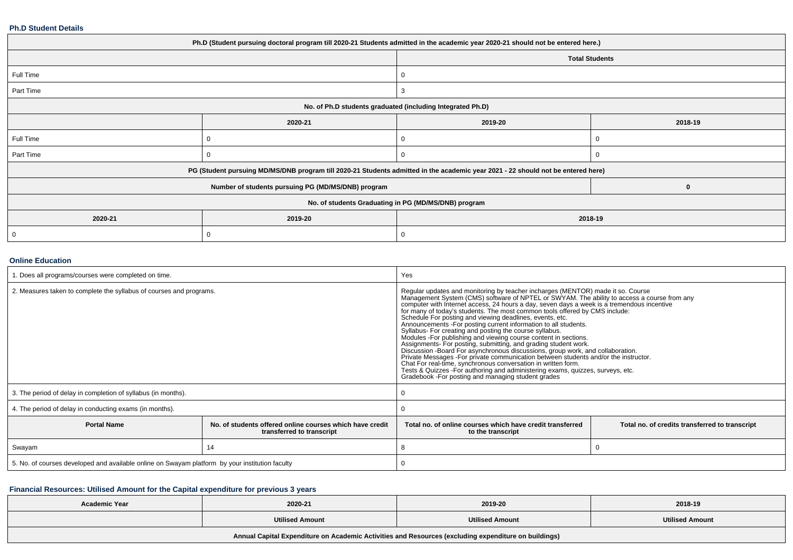#### **Ph.D Student Details**

| Ph.D (Student pursuing doctoral program till 2020-21 Students admitted in the academic year 2020-21 should not be entered here.) |                                                                                                                                  |                       |         |  |  |  |  |  |
|----------------------------------------------------------------------------------------------------------------------------------|----------------------------------------------------------------------------------------------------------------------------------|-----------------------|---------|--|--|--|--|--|
|                                                                                                                                  |                                                                                                                                  | <b>Total Students</b> |         |  |  |  |  |  |
| Full Time                                                                                                                        |                                                                                                                                  |                       |         |  |  |  |  |  |
| Part Time                                                                                                                        |                                                                                                                                  | -3                    |         |  |  |  |  |  |
| No. of Ph.D students graduated (including Integrated Ph.D)                                                                       |                                                                                                                                  |                       |         |  |  |  |  |  |
|                                                                                                                                  | 2020-21                                                                                                                          | 2019-20               | 2018-19 |  |  |  |  |  |
| Full Time                                                                                                                        |                                                                                                                                  |                       |         |  |  |  |  |  |
| Part Time                                                                                                                        |                                                                                                                                  | 0                     |         |  |  |  |  |  |
|                                                                                                                                  | PG (Student pursuing MD/MS/DNB program till 2020-21 Students admitted in the academic year 2021 - 22 should not be entered here) |                       |         |  |  |  |  |  |
|                                                                                                                                  | Number of students pursuing PG (MD/MS/DNB) program                                                                               |                       | 0       |  |  |  |  |  |
|                                                                                                                                  | No. of students Graduating in PG (MD/MS/DNB) program                                                                             |                       |         |  |  |  |  |  |
| 2020-21                                                                                                                          | 2019-20<br>2018-19                                                                                                               |                       |         |  |  |  |  |  |
| 0                                                                                                                                |                                                                                                                                  | -0                    |         |  |  |  |  |  |

## **Online Education**

| 1. Does all programs/courses were completed on time.                                                        |    | Yes                                                                                                                                                                                                                                                                                                                                                                                                                                                                                                                                                                                                                                                                                                                                                                                                                                                                                                                                                                                                                                      |                                                |  |  |
|-------------------------------------------------------------------------------------------------------------|----|------------------------------------------------------------------------------------------------------------------------------------------------------------------------------------------------------------------------------------------------------------------------------------------------------------------------------------------------------------------------------------------------------------------------------------------------------------------------------------------------------------------------------------------------------------------------------------------------------------------------------------------------------------------------------------------------------------------------------------------------------------------------------------------------------------------------------------------------------------------------------------------------------------------------------------------------------------------------------------------------------------------------------------------|------------------------------------------------|--|--|
| 2. Measures taken to complete the syllabus of courses and programs.                                         |    | Regular updates and monitoring by teacher incharges (MENTOR) made it so. Course<br>Management System (CMS) software of NPTEL or SWYAM. The ability to access a course from any computer with Internet access, 24 hours a day, seven days a week is a tremendous incentive for many of today's students. The most<br>Schedule For posting and viewing deadlines, events, etc.<br>Announcements - For posting current information to all students.<br>Syllabus- For creating and posting the course syllabus.<br>Modules - For publishing and viewing course content in sections.<br>Assignments- For posting, submitting, and grading student work.<br>Discussion - Board For asynchronous discussions, group work, and collaboration.<br>Private Messages - For private communication between students and/or the instructor.<br>Chat For real-time, synchronous conversation in written form.<br>Tests & Quizzes - For authoring and administering exams, quizzes, surveys, etc.<br>Gradebook - For posting and managing student grades |                                                |  |  |
| 3. The period of delay in completion of syllabus (in months).                                               |    |                                                                                                                                                                                                                                                                                                                                                                                                                                                                                                                                                                                                                                                                                                                                                                                                                                                                                                                                                                                                                                          |                                                |  |  |
| 4. The period of delay in conducting exams (in months).                                                     |    |                                                                                                                                                                                                                                                                                                                                                                                                                                                                                                                                                                                                                                                                                                                                                                                                                                                                                                                                                                                                                                          |                                                |  |  |
| <b>Portal Name</b><br>No. of students offered online courses which have credit<br>transferred to transcript |    | Total no, of online courses which have credit transferred<br>to the transcript                                                                                                                                                                                                                                                                                                                                                                                                                                                                                                                                                                                                                                                                                                                                                                                                                                                                                                                                                           | Total no. of credits transferred to transcript |  |  |
| Swayam                                                                                                      | 14 |                                                                                                                                                                                                                                                                                                                                                                                                                                                                                                                                                                                                                                                                                                                                                                                                                                                                                                                                                                                                                                          |                                                |  |  |
| 5. No. of courses developed and available online on Swayam platform by your institution faculty             |    |                                                                                                                                                                                                                                                                                                                                                                                                                                                                                                                                                                                                                                                                                                                                                                                                                                                                                                                                                                                                                                          |                                                |  |  |

# **Financial Resources: Utilised Amount for the Capital expenditure for previous 3 years**

| <b>Academic Year</b>                                                                                 | 2020-21                | 2019-20                | 2018-19                |  |  |  |  |
|------------------------------------------------------------------------------------------------------|------------------------|------------------------|------------------------|--|--|--|--|
|                                                                                                      | <b>Utilised Amount</b> | <b>Utilised Amount</b> | <b>Utilised Amount</b> |  |  |  |  |
| Annual Capital Expenditure on Academic Activities and Resources (excluding expenditure on buildings) |                        |                        |                        |  |  |  |  |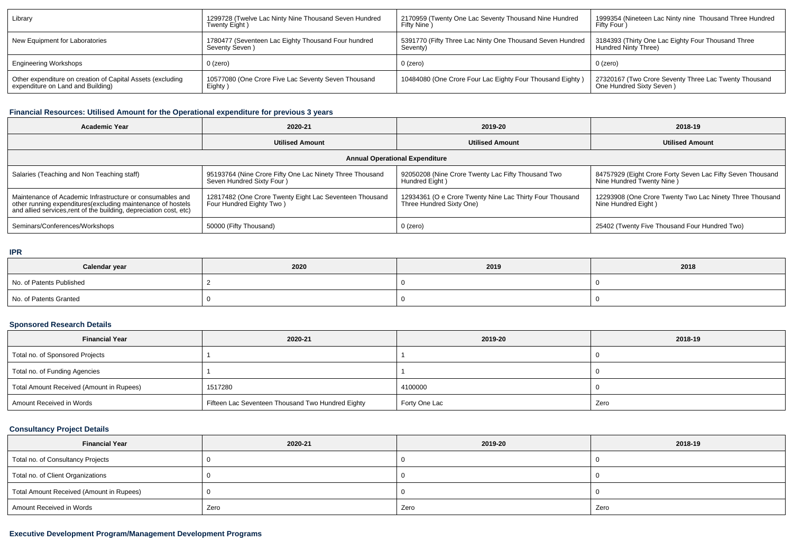| Library                                                    | 1299728 (Twelve Lac Ninty Nine Thousand Seven Hundred | 2170959 (Twenty One Lac Seventy Thousand Nine Hundred     | 1999354 (Nineteen Lac Ninty nine Thousand Three Hundred |
|------------------------------------------------------------|-------------------------------------------------------|-----------------------------------------------------------|---------------------------------------------------------|
|                                                            | Twenty Eight)                                         | Fifty Nine                                                | Fifty Four                                              |
| New Equipment for Laboratories                             | 1780477 (Seventeen Lac Eighty Thousand Four hundred   | 5391770 (Fifty Three Lac Ninty One Thousand Seven Hundred | 3184393 (Thirty One Lac Eighty Four Thousand Three      |
|                                                            | Seventy Seven)                                        | Seventy)                                                  | Hundred Ninty Three)                                    |
| <b>Engineering Workshops</b>                               | 0 (zero)                                              | $0$ (zero)                                                | $0$ (zero)                                              |
| Other expenditure on creation of Capital Assets (excluding | 10577080 (One Crore Five Lac Seventy Seven Thousand   | 10484080 (One Crore Four Lac Eighty Four Thousand Eighty) | 27320167 (Two Crore Seventy Three Lac Twenty Thousand   |
| expenditure on Land and Building)                          | Eighty)                                               |                                                           | One Hundred Sixty Seven)                                |

# **Financial Resources: Utilised Amount for the Operational expenditure for previous 3 years**

| <b>Academic Year</b>                                                                                                                                                                            | 2020-21                                                                                | 2019-20                                                                              | 2018-19                                                                                  |  |  |  |  |  |
|-------------------------------------------------------------------------------------------------------------------------------------------------------------------------------------------------|----------------------------------------------------------------------------------------|--------------------------------------------------------------------------------------|------------------------------------------------------------------------------------------|--|--|--|--|--|
|                                                                                                                                                                                                 | <b>Utilised Amount</b>                                                                 | <b>Utilised Amount</b>                                                               | <b>Utilised Amount</b>                                                                   |  |  |  |  |  |
| <b>Annual Operational Expenditure</b>                                                                                                                                                           |                                                                                        |                                                                                      |                                                                                          |  |  |  |  |  |
| Salaries (Teaching and Non Teaching staff)                                                                                                                                                      | 95193764 (Nine Crore Fifty One Lac Ninety Three Thousand<br>Seven Hundred Sixty Four ) | 92050208 (Nine Crore Twenty Lac Fifty Thousand Two<br>Hundred Eight)                 | 84757929 (Eight Crore Forty Seven Lac Fifty Seven Thousand<br>Nine Hundred Twenty Nine ) |  |  |  |  |  |
| Maintenance of Academic Infrastructure or consumables and<br>other running expenditures (excluding maintenance of hostels<br>and allied services, rent of the building, depreciation cost, etc) | 12817482 (One Crore Twenty Eight Lac Seventeen Thousand<br>Four Hundred Eighty Two)    | 12934361 (O e Crore Twenty Nine Lac Thirty Four Thousand<br>Three Hundred Sixty One) | 12293908 (One Crore Twenty Two Lac Ninety Three Thousand<br>Nine Hundred Eight)          |  |  |  |  |  |
| Seminars/Conferences/Workshops                                                                                                                                                                  | 50000 (Fifty Thousand)                                                                 | $0$ (zero)                                                                           | 25402 (Twenty Five Thousand Four Hundred Two)                                            |  |  |  |  |  |

#### **IPR**

| Calendar year            | 2020 | 2019 | 2018 |  |
|--------------------------|------|------|------|--|
| No. of Patents Published |      |      |      |  |
| No. of Patents Granted   |      |      |      |  |

# **Sponsored Research Details**

| <b>Financial Year</b>                    | 2020-21                                           | 2019-20       | 2018-19 |
|------------------------------------------|---------------------------------------------------|---------------|---------|
| Total no. of Sponsored Projects          |                                                   |               |         |
| Total no. of Funding Agencies            |                                                   |               |         |
| Total Amount Received (Amount in Rupees) | 1517280                                           | 4100000       |         |
| Amount Received in Words                 | Fifteen Lac Seventeen Thousand Two Hundred Eighty | Forty One Lac | Zero    |

# **Consultancy Project Details**

| <b>Financial Year</b>                    | 2020-21 | 2019-20 | 2018-19 |  |
|------------------------------------------|---------|---------|---------|--|
| Total no. of Consultancy Projects        |         |         |         |  |
| Total no. of Client Organizations        |         |         |         |  |
| Total Amount Received (Amount in Rupees) |         |         |         |  |
| Amount Received in Words                 | Zero    | Zero    | Zero    |  |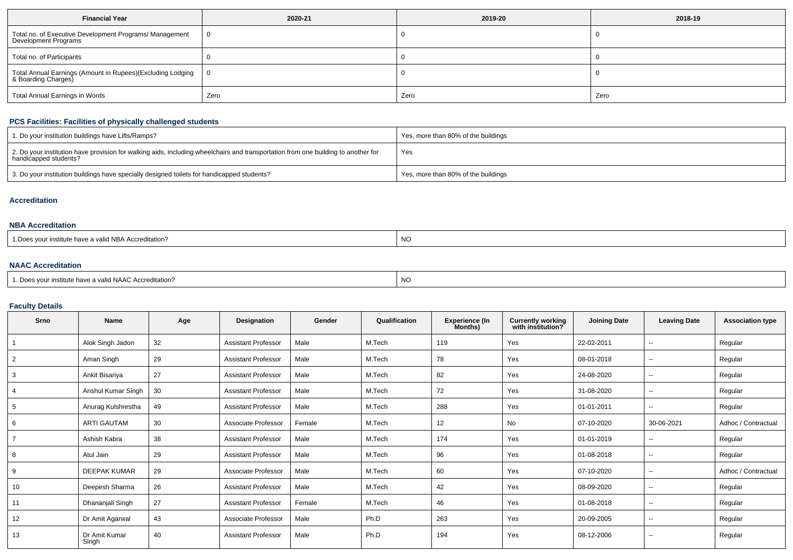| <b>Financial Year</b>                                                             | 2020-21 | 2019-20 | 2018-19 |  |
|-----------------------------------------------------------------------------------|---------|---------|---------|--|
| Total no. of Executive Development Programs/ Management<br>Development Programs   | 0       |         |         |  |
| Total no. of Participants                                                         |         |         |         |  |
| Total Annual Earnings (Amount in Rupees)(Excluding Lodging<br>& Boarding Charges) | 0       |         |         |  |
| Total Annual Earnings in Words                                                    | Zero    | Zero    | Zero    |  |

# **PCS Facilities: Facilities of physically challenged students**

| 1. Do your institution buildings have Lifts/Ramps?                                                                                                         | Yes, more than 80% of the buildings |
|------------------------------------------------------------------------------------------------------------------------------------------------------------|-------------------------------------|
| 2. Do your institution have provision for walking aids, including wheelchairs and transportation from one building to another for<br>handicapped students? | Yes                                 |
| 3. Do your institution buildings have specially designed toilets for handicapped students?                                                                 | Yes, more than 80% of the buildings |

#### **Accreditation**

### **NBA Accreditation**

| <b>NO</b><br>: have a valid NBA Accreditation?<br>our institute<br>.Do<br>__ |
|------------------------------------------------------------------------------|
|------------------------------------------------------------------------------|

## **NAAC Accreditation**

| <sup>1</sup> Does vour institute have a valid NAAC Accreditation? | NC |
|-------------------------------------------------------------------|----|
|-------------------------------------------------------------------|----|

# **Faculty Details**

| Srno           | <b>Name</b>            | Age | Designation                | Gender | Qualification | <b>Experience (In</b><br>Months) | <b>Currently working</b><br>with institution? | <b>Joining Date</b> | <b>Leaving Date</b>      | <b>Association type</b> |
|----------------|------------------------|-----|----------------------------|--------|---------------|----------------------------------|-----------------------------------------------|---------------------|--------------------------|-------------------------|
|                | Alok Singh Jadon       | 32  | <b>Assistant Professor</b> | Male   | M.Tech        | 119                              | Yes                                           | 22-02-2011          | $\overline{\phantom{a}}$ | Regular                 |
| $\overline{2}$ | Aman Singh             | 29  | <b>Assistant Professor</b> | Male   | M.Tech        | 78                               | Yes                                           | 08-01-2018          | $\overline{\phantom{a}}$ | Regular                 |
| 3              | Ankit Bisariya         | 27  | <b>Assistant Professor</b> | Male   | M.Tech        | 82                               | Yes                                           | 24-08-2020          | $-$                      | Regular                 |
|                | Anshul Kumar Singh     | 30  | <b>Assistant Professor</b> | Male   | M.Tech        | 72                               | Yes                                           | 31-08-2020          | $\overline{\phantom{a}}$ | Regular                 |
| 5              | Anurag Kulshrestha     | 49  | <b>Assistant Professor</b> | Male   | M.Tech        | 288                              | Yes                                           | 01-01-2011          | $\overline{\phantom{a}}$ | Regular                 |
| 6              | <b>ARTI GAUTAM</b>     | 30  | Associate Professor        | Female | M.Tech        | 12                               | No                                            | 07-10-2020          | 30-06-2021               | Adhoc / Contractual     |
|                | Ashish Kabra           | 38  | <b>Assistant Professor</b> | Male   | M.Tech        | 174                              | Yes                                           | 01-01-2019          | $\overline{\phantom{a}}$ | Regular                 |
| 8              | Atul Jain              | 29  | <b>Assistant Professor</b> | Male   | M.Tech        | 96                               | Yes                                           | 01-08-2018          | $\sim$                   | Regular                 |
| 9              | <b>DEEPAK KUMAR</b>    | 29  | Associate Professor        | Male   | M.Tech        | 60                               | Yes                                           | 07-10-2020          | $\overline{\phantom{a}}$ | Adhoc / Contractual     |
| 10             | Deepesh Sharma         | 26  | <b>Assistant Professor</b> | Male   | M.Tech        | 42                               | Yes                                           | 08-09-2020          | $- -$                    | Regular                 |
| 11             | Dhananjali Singh       | 27  | <b>Assistant Professor</b> | Female | M.Tech        | 46                               | Yes                                           | 01-08-2018          | $\overline{\phantom{a}}$ | Regular                 |
| 12             | Dr Amit Agarwal        | 43  | Associate Professor        | Male   | Ph.D          | 263                              | Yes                                           | 20-09-2005          | $\overline{\phantom{a}}$ | Regular                 |
| 13             | Dr Amit Kumar<br>Singh | 40  | <b>Assistant Professor</b> | Male   | Ph.D          | 194                              | Yes                                           | 08-12-2006          | $\overline{\phantom{a}}$ | Regular                 |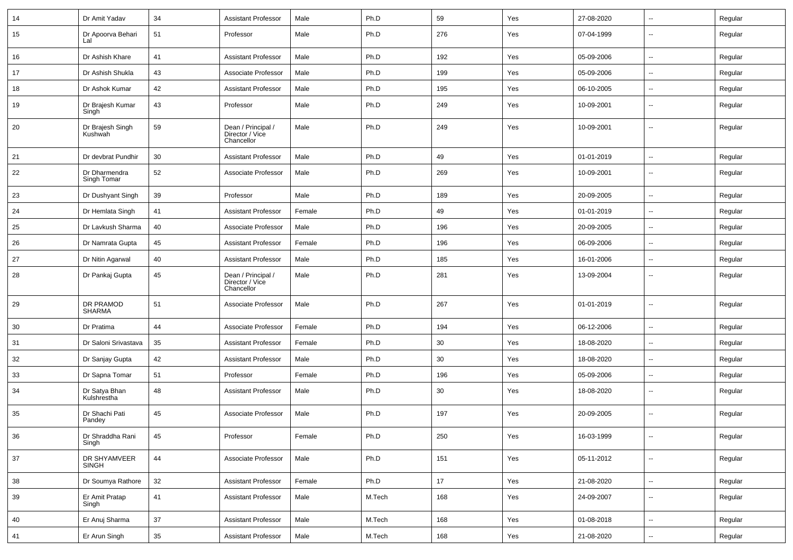| 14 | Dr Amit Yadav                | 34     | <b>Assistant Professor</b>                          | Male   | Ph.D   | 59  | Yes | 27-08-2020 | $\overline{\phantom{a}}$ | Regular |
|----|------------------------------|--------|-----------------------------------------------------|--------|--------|-----|-----|------------|--------------------------|---------|
| 15 | Dr Apoorva Behari<br>Lal     | 51     | Professor                                           | Male   | Ph.D   | 276 | Yes | 07-04-1999 | $\overline{\phantom{a}}$ | Regular |
| 16 | Dr Ashish Khare              | 41     | <b>Assistant Professor</b>                          | Male   | Ph.D   | 192 | Yes | 05-09-2006 | $\overline{\phantom{a}}$ | Regular |
| 17 | Dr Ashish Shukla             | 43     | Associate Professor                                 | Male   | Ph.D   | 199 | Yes | 05-09-2006 | $\mathbf{u}$             | Regular |
| 18 | Dr Ashok Kumar               | 42     | <b>Assistant Professor</b>                          | Male   | Ph.D   | 195 | Yes | 06-10-2005 | $\overline{\phantom{a}}$ | Regular |
| 19 | Dr Brajesh Kumar<br>Singh    | 43     | Professor                                           | Male   | Ph.D   | 249 | Yes | 10-09-2001 | --                       | Regular |
| 20 | Dr Brajesh Singh<br>Kushwah  | 59     | Dean / Principal /<br>Director / Vice<br>Chancellor | Male   | Ph.D   | 249 | Yes | 10-09-2001 | --                       | Regular |
| 21 | Dr devbrat Pundhir           | 30     | <b>Assistant Professor</b>                          | Male   | Ph.D   | 49  | Yes | 01-01-2019 | $\overline{\phantom{a}}$ | Regular |
| 22 | Dr Dharmendra<br>Singh Tomar | 52     | Associate Professor                                 | Male   | Ph.D   | 269 | Yes | 10-09-2001 | --                       | Regular |
| 23 | Dr Dushyant Singh            | 39     | Professor                                           | Male   | Ph.D   | 189 | Yes | 20-09-2005 | $\mathbf{u}$             | Regular |
| 24 | Dr Hemlata Singh             | 41     | <b>Assistant Professor</b>                          | Female | Ph.D   | 49  | Yes | 01-01-2019 | $\mathbf{u}$             | Regular |
| 25 | Dr Lavkush Sharma            | 40     | Associate Professor                                 | Male   | Ph.D   | 196 | Yes | 20-09-2005 | $\sim$                   | Regular |
| 26 | Dr Namrata Gupta             | 45     | <b>Assistant Professor</b>                          | Female | Ph.D   | 196 | Yes | 06-09-2006 | $\overline{\phantom{a}}$ | Regular |
| 27 | Dr Nitin Agarwal             | 40     | <b>Assistant Professor</b>                          | Male   | Ph.D   | 185 | Yes | 16-01-2006 | $\overline{\phantom{a}}$ | Regular |
| 28 | Dr Pankaj Gupta              | 45     | Dean / Principal /<br>Director / Vice<br>Chancellor | Male   | Ph.D   | 281 | Yes | 13-09-2004 | $\overline{\phantom{a}}$ | Regular |
| 29 | DR PRAMOD<br><b>SHARMA</b>   | 51     | Associate Professor                                 | Male   | Ph.D   | 267 | Yes | 01-01-2019 | $\mathbf{u}$             | Regular |
| 30 | Dr Pratima                   | 44     | Associate Professor                                 | Female | Ph.D   | 194 | Yes | 06-12-2006 | $\overline{a}$           | Regular |
| 31 | Dr Saloni Srivastava         | 35     | <b>Assistant Professor</b>                          | Female | Ph.D   | 30  | Yes | 18-08-2020 | $\overline{\phantom{a}}$ | Regular |
| 32 | Dr Sanjay Gupta              | 42     | <b>Assistant Professor</b>                          | Male   | Ph.D   | 30  | Yes | 18-08-2020 | $\mathbf{u}$             | Regular |
| 33 | Dr Sapna Tomar               | 51     | Professor                                           | Female | Ph.D   | 196 | Yes | 05-09-2006 | $\sim$                   | Regular |
| 34 | Dr Satya Bhan<br>Kulshrestha | 48     | <b>Assistant Professor</b>                          | Male   | Ph.D   | 30  | Yes | 18-08-2020 | $\sim$                   | Regular |
| 35 | Dr Shachi Pati<br>Pandey     | 45     | Associate Professor                                 | Male   | Ph.D   | 197 | Yes | 20-09-2005 | $\sim$                   | Regular |
| 36 | Dr Shraddha Rani<br>Singh    | 45     | Professor                                           | Female | Ph.D   | 250 | Yes | 16-03-1999 | $\sim$                   | Regular |
| 37 | DR SHYAMVEER<br><b>SINGH</b> | 44     | Associate Professor                                 | Male   | Ph.D   | 151 | Yes | 05-11-2012 | $\sim$                   | Regular |
| 38 | Dr Soumya Rathore            | 32     | Assistant Professor                                 | Female | Ph.D   | 17  | Yes | 21-08-2020 | $\sim$                   | Regular |
| 39 | Er Amit Pratap<br>Singh      | 41     | <b>Assistant Professor</b>                          | Male   | M.Tech | 168 | Yes | 24-09-2007 | $\sim$                   | Regular |
| 40 | Er Anuj Sharma               | $37\,$ | Assistant Professor                                 | Male   | M.Tech | 168 | Yes | 01-08-2018 | $\sim$                   | Regular |
| 41 | Er Arun Singh                | $35\,$ | <b>Assistant Professor</b>                          | Male   | M.Tech | 168 | Yes | 21-08-2020 | $\sim$                   | Regular |